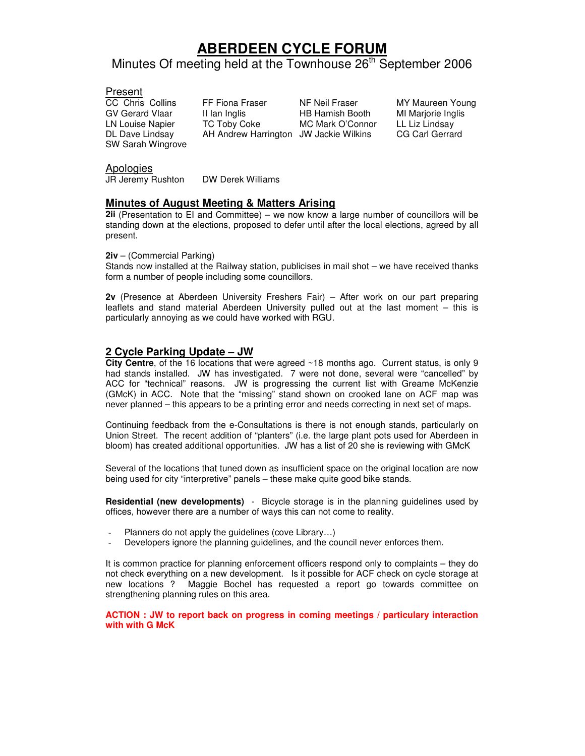# **ABERDEEN CYCLE FORUM**

# Minutes Of meeting held at the Townhouse 26<sup>th</sup> September 2006

**Present**<br>CC Chris Collins SW Sarah Wingrove

FF Fiona Fraser NF Neil Fraser MY Maureen Young GV Gerard Vlaar II Ian Inglis HB Hamish Booth MI Marjorie Inglis LN Louise Napier TC Toby Coke MC Mark O'Connor LL Liz Lindsay DL Dave Lindsay AH Andrew Harrington JW Jackie Wilkins CG Carl Gerrard

## Apologies

JR Jeremy Rushton DW Derek Williams

# **Minutes of August Meeting & Matters Arising**

**2ii** (Presentation to EI and Committee) – we now know a large number of councillors will be standing down at the elections, proposed to defer until after the local elections, agreed by all present.

## **2iv** – (Commercial Parking)

Stands now installed at the Railway station, publicises in mail shot – we have received thanks form a number of people including some councillors.

**2v** (Presence at Aberdeen University Freshers Fair) – After work on our part preparing leaflets and stand material Aberdeen University pulled out at the last moment – this is particularly annoying as we could have worked with RGU.

# **2 Cycle Parking Update – JW**

**City Centre**, of the 16 locations that were agreed ~18 months ago. Current status, is only 9 had stands installed. JW has investigated. 7 were not done, several were "cancelled" by ACC for "technical" reasons. JW is progressing the current list with Greame McKenzie (GMcK) in ACC. Note that the "missing" stand shown on crooked lane on ACF map was never planned – this appears to be a printing error and needs correcting in next set of maps.

Continuing feedback from the e-Consultations is there is not enough stands, particularly on Union Street. The recent addition of "planters" (i.e. the large plant pots used for Aberdeen in bloom) has created additional opportunities. JW has a list of 20 she is reviewing with GMcK

Several of the locations that tuned down as insufficient space on the original location are now being used for city "interpretive" panels – these make quite good bike stands.

**Residential (new developments)** - Bicycle storage is in the planning guidelines used by offices, however there are a number of ways this can not come to reality.

- Planners do not apply the guidelines (cove Library...)
- Developers ignore the planning guidelines, and the council never enforces them.

It is common practice for planning enforcement officers respond only to complaints – they do not check everything on a new development. Is it possible for ACF check on cycle storage at new locations ? Maggie Bochel has requested a report go towards committee on strengthening planning rules on this area.

**ACTION : JW to report back on progress in coming meetings / particulary interaction with with G McK**